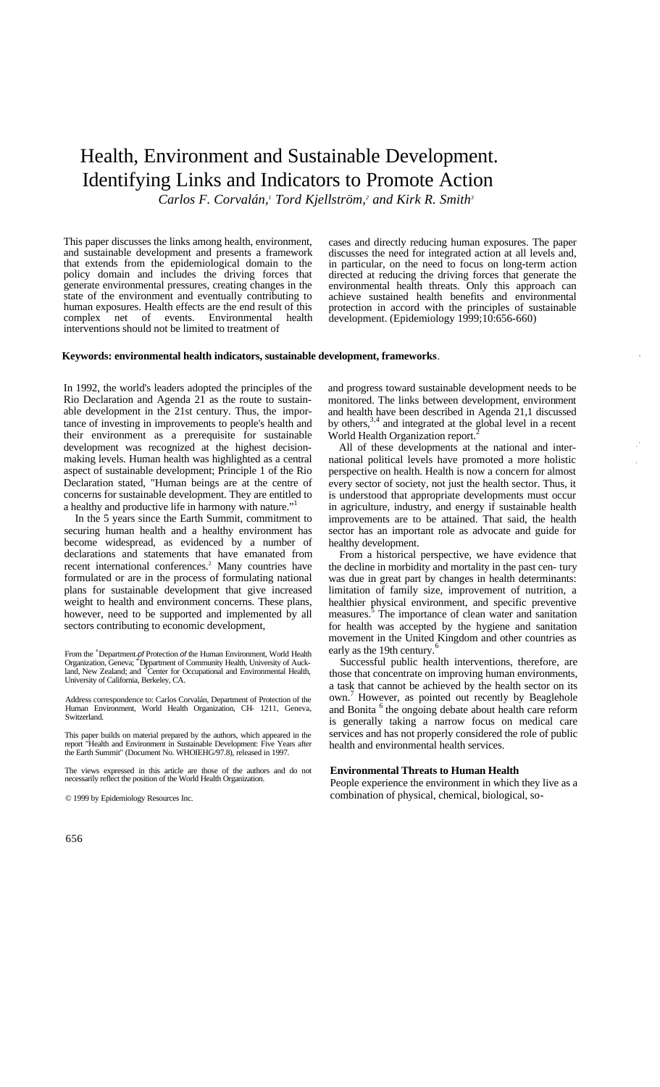# Health, Environment and Sustainable Development. Identifying Links and Indicators to Promote Action

*Carlos F. Corvalán,<sup>1</sup> Tord Kjellström,<sup>2</sup> and Kirk R. Smith<sup>3</sup>*

This paper discusses the links among health, environment, and sustainable development and presents a framework that extends from the epidemiological domain to the policy domain and includes the driving forces that generate environmental pressures, creating changes in the state of the environment and eventually contributing to human exposures. Health effects are the end result of this complex net of events. Environmental health complex net of events. Environmental health interventions should not be limited to treatment of

cases and directly reducing human exposures. The paper discusses the need for integrated action at all levels and, in particular, on the need to focus on long-term action directed at reducing the driving forces that generate the environmental health threats. Only this approach can achieve sustained health benefits and environmental protection in accord with the principles of sustainable development. (Epidemiology 1999;10:656-660)

## **Keywords: environmental health indicators, sustainable development, frameworks**.

In 1992, the world's leaders adopted the principles of the Rio Declaration and Agenda 21 as the route to sustainable development in the 21st century. Thus, the importance of investing in improvements to people's health and their environment as a prerequisite for sustainable development was recognized at the highest decisionmaking levels. Human health was highlighted as a central aspect of sustainable development; Principle 1 of the Rio Declaration stated, "Human beings are at the centre of concerns for sustainable development. They are entitled to a healthy and productive life in harmony with nature.'

In the 5 years since the Earth Summit, commitment to securing human health and a healthy environment has become widespread, as evidenced by a number of declarations and statements that have emanated from recent international conferences.<sup>2</sup> Many countries have formulated or are in the process of formulating national plans for sustainable development that give increased weight to health and environment concerns. These plans, however, need to be supported and implemented by all sectors contributing to economic development,

From the  $^4$  Department  $\rho f$  Protection of the Human Environment, World Health Organization, Geneva; Department of Community Health, University of Auckland, New Zealand; and  $^3$ Center for Occupational and Environmental University of California, Berkeley, CA.

Address correspondence to: Carlos Corvalán, Department of Protection of the Human Environment, World Health Organization, CH- 1211, Geneva, Switzerland.

This paper builds on material prepared by the authors, which appeared in the report "Health and Environment in Sustainable Development: Five Years after the Earth Summit" (Document No. WHOIEHG/97.8), released in 1997.

The views expressed in this article are those of the authors and do not necessarily reflect the position of the World Health Organization.

© 1999 by Epidemiology Resources Inc.

and progress toward sustainable development needs to be monitored. The links between development, environment and health have been described in Agenda 21,1 discussed by others,<sup>3,4</sup> and integrated at the global level in a recent World Health Organization report.

All of these developments at the national and international political levels have promoted a more holistic perspective on health. Health is now a concern for almost every sector of society, not just the health sector. Thus, it is understood that appropriate developments must occur in agriculture, industry, and energy if sustainable health improvements are to be attained. That said, the health sector has an important role as advocate and guide for healthy development.

From a historical perspective, we have evidence that the decline in morbidity and mortality in the past cen- tury was due in great part by changes in health determinants: limitation of family size, improvement of nutrition, a healthier physical environment, and specific preventive measures.<sup>5</sup> The importance of clean water and sanitation for health was accepted by the hygiene and sanitation movement in the United Kingdom and other countries as early as the 19th century.<sup>6</sup>

Successful public health interventions, therefore, are those that concentrate on improving human environments, a task that cannot be achieved by the health sector on its own. <sup>7</sup> However, as pointed out recently by Beaglehole and Bonita <sup>6</sup> the ongoing debate about health care reform is generally taking a narrow focus on medical care services and has not properly considered the role of public health and environmental health services.

#### **Environmental Threats to Human Health**

People experience the environment in which they live as a combination of physical, chemical, biological, so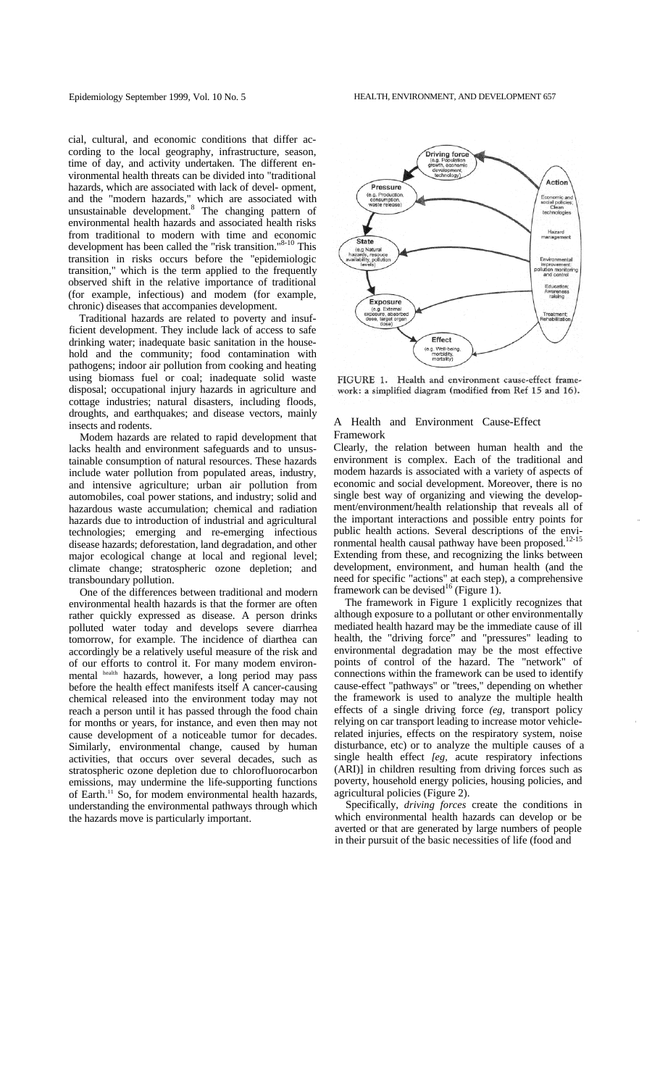cial, cultural, and economic conditions that differ according to the local geography, infrastructure, season, time of day, and activity undertaken. The different environmental health threats can be divided into "traditional hazards, which are associated with lack of devel- opment, and the "modern hazards," which are associated with unsustainable development.<sup>8</sup> The changing pattern of environmental health hazards and associated health risks from traditional to modern with time and economic development has been called the "risk transition."<sup>8-10</sup> This transition in risks occurs before the "epidemiologic transition," which is the term applied to the frequently observed shift in the relative importance of traditional (for example, infectious) and modem (for example, chronic) diseases that accompanies development.

Traditional hazards are related to poverty and insufficient development. They include lack of access to safe drinking water; inadequate basic sanitation in the household and the community; food contamination with pathogens; indoor air pollution from cooking and heating using biomass fuel or coal; inadequate solid waste disposal; occupational injury hazards in agriculture and cottage industries; natural disasters, including floods, droughts, and earthquakes; and disease vectors, mainly insects and rodents.

Modem hazards are related to rapid development that lacks health and environment safeguards and to unsustainable consumption of natural resources. These hazards include water pollution from populated areas, industry, and intensive agriculture; urban air pollution from automobiles, coal power stations, and industry; solid and hazardous waste accumulation; chemical and radiation hazards due to introduction of industrial and agricultural technologies; emerging and re-emerging infectious disease hazards; deforestation, land degradation, and other major ecological change at local and regional level; climate change; stratospheric ozone depletion; and transboundary pollution.

One of the differences between traditional and modern environmental health hazards is that the former are often rather quickly expressed as disease. A person drinks polluted water today and develops severe diarrhea tomorrow, for example. The incidence of diarthea can accordingly be a relatively useful measure of the risk and of our efforts to control it. For many modem environmental health hazards, however, a long period may pass before the health effect manifests itself A cancer-causing chemical released into the environment today may not reach a person until it has passed through the food chain for months or years, for instance, and even then may not cause development of a noticeable tumor for decades. Similarly, environmental change, caused by human activities, that occurs over several decades, such as stratospheric ozone depletion due to chlorofluorocarbon emissions, may undermine the life-supporting functions of Earth.<sup>11</sup> So, for modem environmental health hazards, understanding the environmental pathways through which the hazards move is particularly important.



FIGURE 1. Health and environment cause-effect framework: a simplified diagram (modified from Ref 15 and 16).

## A Health and Environment Cause-Effect Framework

Clearly, the relation between human health and the environment is complex. Each of the traditional and modem hazards is associated with a variety of aspects of economic and social development. Moreover, there is no single best way of organizing and viewing the development/environment/health relationship that reveals all of the important interactions and possible entry points for public health actions. Several descriptions of the envi-<br>public health actions. Several descriptions of the environmental health causal pathway have been proposed.<sup>1</sup> Extending from these, and recognizing the links between development, environment, and human health (and the need for specific "actions" at each step), a comprehensive framework can be devised<sup>16</sup> (Figure 1).

The framework in Figure 1 explicitly recognizes that although exposure to a pollutant or other environmentally mediated health hazard may be the immediate cause of ill health, the "driving force" and "pressures" leading to environmental degradation may be the most effective points of control of the hazard. The "network" of connections within the framework can be used to identify cause-effect "pathways" or "trees," depending on whether the framework is used to analyze the multiple health effects of a single driving force *(eg,* transport policy relying on car transport leading to increase motor vehiclerelated injuries, effects on the respiratory system, noise disturbance, etc) or to analyze the multiple causes of a single health effect *[eg,* acute respiratory infections (ARI)] in children resulting from driving forces such as poverty, household energy policies, housing policies, and agricultural policies (Figure 2).

Specifically, *driving forces* create the conditions in which environmental health hazards can develop or be averted or that are generated by large numbers of people in their pursuit of the basic necessities of life (food and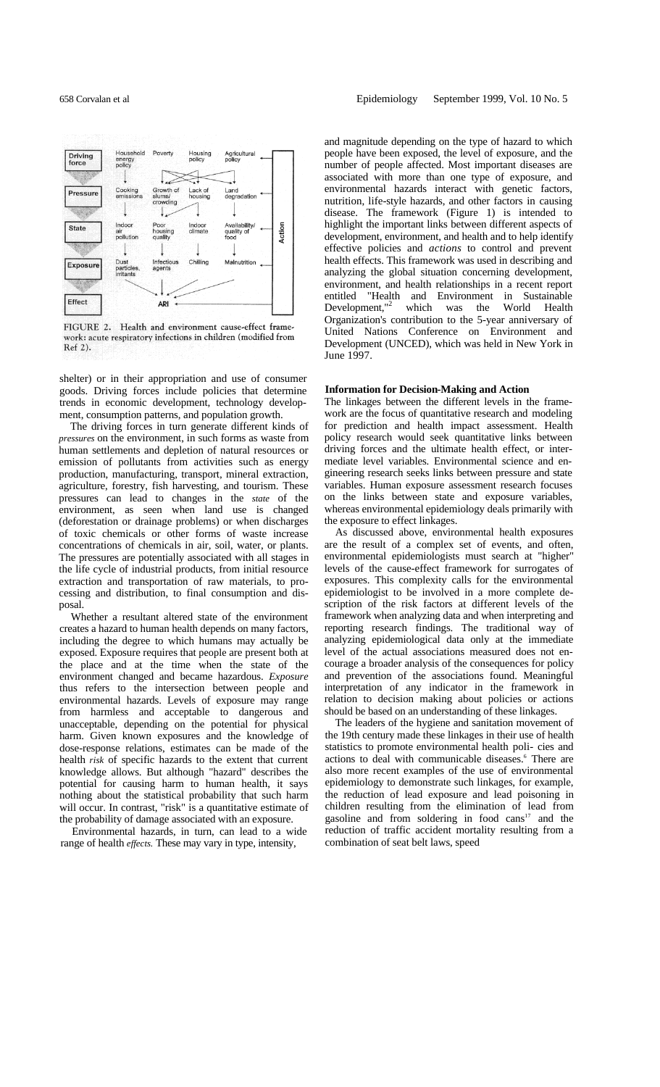

FIGURE 2. Health and environment cause-effect framework: acute respiratory infections in children (modified from Ref 2).

shelter) or in their appropriation and use of consumer goods. Driving forces include policies that determine trends in economic development, technology development, consumption patterns, and population growth.

The driving forces in turn generate different kinds of *pressures* on the environment, in such forms as waste from human settlements and depletion of natural resources or emission of pollutants from activities such as energy production, manufacturing, transport, mineral extraction, agriculture, forestry, fish harvesting, and tourism. These pressures can lead to changes in the *state* of the environment, as seen when land use is changed (deforestation or drainage problems) or when discharges of toxic chemicals or other forms of waste increase concentrations of chemicals in air, soil, water, or plants. The pressures are potentially associated with all stages in the life cycle of industrial products, from initial resource extraction and transportation of raw materials, to processing and distribution, to final consumption and disposal.

Whether a resultant altered state of the environment creates a hazard to human health depends on many factors, including the degree to which humans may actually be exposed. Exposure requires that people are present both at the place and at the time when the state of the environment changed and became hazardous. *Exposure* thus refers to the intersection between people and environmental hazards. Levels of exposure may range from harmless and acceptable to dangerous and unacceptable, depending on the potential for physical harm. Given known exposures and the knowledge of dose-response relations, estimates can be made of the health *risk* of specific hazards to the extent that current knowledge allows. But although "hazard" describes the potential for causing harm to human health, it says nothing about the statistical probability that such harm will occur. In contrast, "risk" is a quantitative estimate of the probability of damage associated with an exposure.

Environmental hazards, in turn, can lead to a wide range of health *effects.* These may vary in type, intensity,

and magnitude depending on the type of hazard to which people have been exposed, the level of exposure, and the number of people affected. Most important diseases are associated with more than one type of exposure, and environmental hazards interact with genetic factors, nutrition, life-style hazards, and other factors in causing disease. The framework (Figure 1) is intended to highlight the important links between different aspects of development, environment, and health and to help identify effective policies and *actions* to control and prevent health effects. This framework was used in describing and analyzing the global situation concerning development, environment, and health relationships in a recent report entitled "Health and Environment in Sustainable Development,"<sup>2</sup> which was the World Health Organization's contribution to the 5-year anniversary of United Nations Conference on Environment and Development (UNCED), which was held in New York in June 1997.

### **Information for Decision-Making and Action**

The linkages between the different levels in the framework are the focus of quantitative research and modeling for prediction and health impact assessment. Health policy research would seek quantitative links between driving forces and the ultimate health effect, or intermediate level variables. Environmental science and engineering research seeks links between pressure and state variables. Human exposure assessment research focuses on the links between state and exposure variables, whereas environmental epidemiology deals primarily with the exposure to effect linkages.

As discussed above, environmental health exposures are the result of a complex set of events, and often, environmental epidemiologists must search at "higher" levels of the cause-effect framework for surrogates of exposures. This complexity calls for the environmental epidemiologist to be involved in a more complete description of the risk factors at different levels of the framework when analyzing data and when interpreting and reporting research findings. The traditional way of analyzing epidemiological data only at the immediate level of the actual associations measured does not encourage a broader analysis of the consequences for policy and prevention of the associations found. Meaningful interpretation of any indicator in the framework in relation to decision making about policies or actions should be based on an understanding of these linkages.

The leaders of the hygiene and sanitation movement of the 19th century made these linkages in their use of health statistics to promote environmental health poli- cies and actions to deal with communicable diseases.<sup>6</sup> There are also more recent examples of the use of environmental epidemiology to demonstrate such linkages, for example, the reduction of lead exposure and lead poisoning in children resulting from the elimination of lead from gasoline and from soldering in food  $cans<sup>17</sup>$  and the reduction of traffic accident mortality resulting from a combination of seat belt laws, speed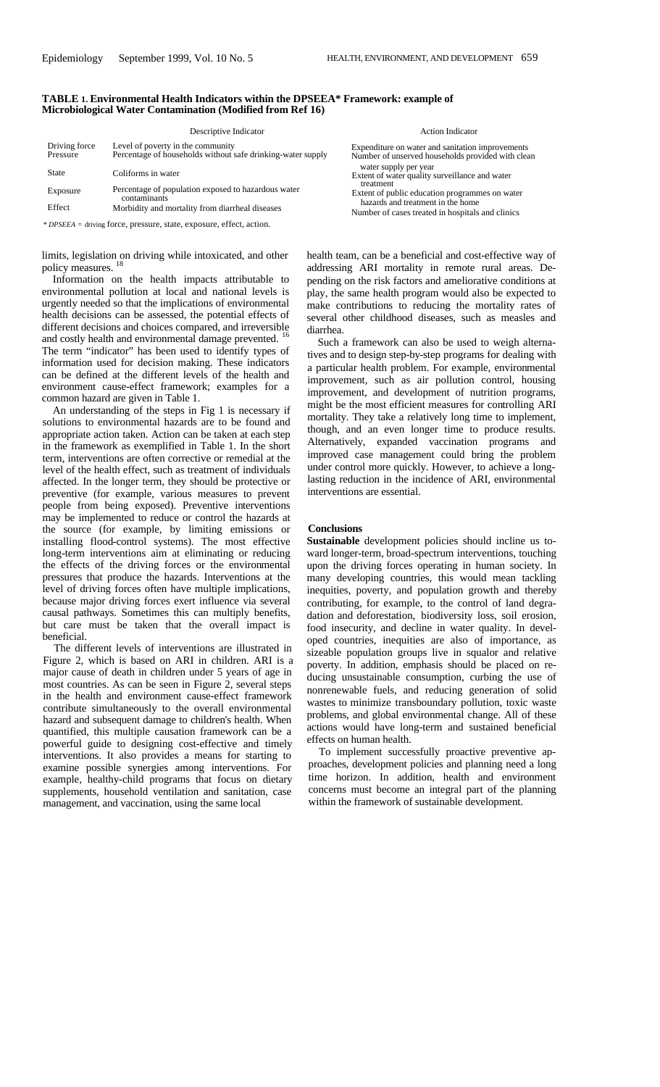| TABLE 1. Environmental Health Indicators within the DPSEEA* Framework: example of |
|-----------------------------------------------------------------------------------|
| Microbiological Water Contamination (Modified from Ref 16)                        |

|                           | Descriptive Indicator                                                                            | <b>Action Indicator</b>                                                                               |
|---------------------------|--------------------------------------------------------------------------------------------------|-------------------------------------------------------------------------------------------------------|
| Driving force<br>Pressure | Level of poverty in the community<br>Percentage of households without safe drinking-water supply | Expenditure on water and sanitation improvements<br>Number of unserved households provided with clean |
| State                     | Coliforms in water                                                                               | water supply per year<br>Extent of water quality surveillance and water                               |
| Exposure                  | Percentage of population exposed to hazardous water<br>contaminants                              | treatment<br>Extent of public education programmes on water<br>hazards and treatment in the home      |
| Effect                    | Morbidity and mortality from diarrheal diseases                                                  | Number of cases treated in hospitals and clinics                                                      |
|                           | * DPSEEA = driving force, pressure, state, exposure, effect, action.                             |                                                                                                       |

limits, legislation on driving while intoxicated, and other policy measures.

Information on the health impacts attributable to environmental pollution at local and national levels is urgently needed so that the implications of environmental health decisions can be assessed, the potential effects of different decisions and choices compared, and irreversible and costly health and environmental damage prevented. The term "indicator" has been used to identify types of information used for decision making. These indicators can be defined at the different levels of the health and environment cause-effect framework; examples for a common hazard are given in Table 1.

An understanding of the steps in Fig 1 is necessary if solutions to environmental hazards are to be found and appropriate action taken. Action can be taken at each step in the framework as exemplified in Table 1. In the short term, interventions are often corrective or remedial at the level of the health effect, such as treatment of individuals affected. In the longer term, they should be protective or preventive (for example, various measures to prevent people from being exposed). Preventive interventions may be implemented to reduce or control the hazards at the source (for example, by limiting emissions or installing flood-control systems). The most effective long-term interventions aim at eliminating or reducing the effects of the driving forces or the environmental pressures that produce the hazards. Interventions at the level of driving forces often have multiple implications, because major driving forces exert influence via several causal pathways. Sometimes this can multiply benefits, but care must be taken that the overall impact is beneficial.

The different levels of interventions are illustrated in Figure 2, which is based on ARI in children. ARI is a major cause of death in children under 5 years of age in most countries. As can be seen in Figure 2, several steps in the health and environment cause-effect framework contribute simultaneously to the overall environmental hazard and subsequent damage to children's health. When quantified, this multiple causation framework can be a powerful guide to designing cost-effective and timely interventions. It also provides a means for starting to examine possible synergies among interventions. For example, healthy-child programs that focus on dietary supplements, household ventilation and sanitation, case management, and vaccination, using the same local

health team, can be a beneficial and cost-effective way of addressing ARI mortality in remote rural areas. Depending on the risk factors and ameliorative conditions at play, the same health program would also be expected to make contributions to reducing the mortality rates of several other childhood diseases, such as measles and diarrhea.

Such a framework can also be used to weigh alternatives and to design step-by-step programs for dealing with a particular health problem. For example, environmental improvement, such as air pollution control, housing improvement, and development of nutrition programs, might be the most efficient measures for controlling ARI mortality. They take a relatively long time to implement, though, and an even longer time to produce results. Alternatively, expanded vaccination programs and improved case management could bring the problem under control more quickly. However, to achieve a longlasting reduction in the incidence of ARI, environmental interventions are essential.

## **Conclusions**

**Sustainable** development policies should incline us toward longer-term, broad-spectrum interventions, touching upon the driving forces operating in human society. In many developing countries, this would mean tackling inequities, poverty, and population growth and thereby contributing, for example, to the control of land degradation and deforestation, biodiversity loss, soil erosion, food insecurity, and decline in water quality. In developed countries, inequities are also of importance, as sizeable population groups live in squalor and relative poverty. In addition, emphasis should be placed on reducing unsustainable consumption, curbing the use of nonrenewable fuels, and reducing generation of solid wastes to minimize transboundary pollution, toxic waste problems, and global environmental change. All of these actions would have long-term and sustained beneficial effects on human health.

To implement successfully proactive preventive approaches, development policies and planning need a long time horizon. In addition, health and environment concerns must become an integral part of the planning within the framework of sustainable development.